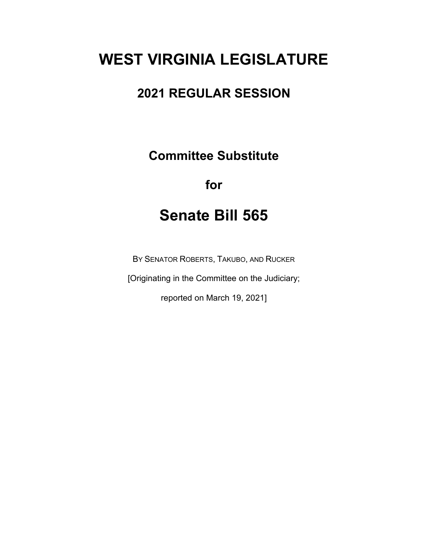# **WEST VIRGINIA LEGISLATURE**

# **2021 REGULAR SESSION**

**Committee Substitute**

## **for**

# **Senate Bill 565**

BY SENATOR ROBERTS, TAKUBO, AND RUCKER

[Originating in the Committee on the Judiciary;

reported on March 19, 2021]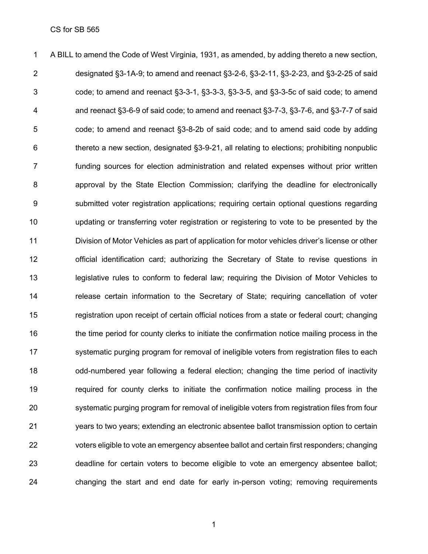A BILL to amend the Code of West Virginia, 1931, as amended, by adding thereto a new section, designated §3-1A-9; to amend and reenact §3-2-6, §3-2-11, §3-2-23, and §3-2-25 of said code; to amend and reenact §3-3-1, §3-3-3, §3-3-5, and §3-3-5c of said code; to amend and reenact §3-6-9 of said code; to amend and reenact §3-7-3, §3-7-6, and §3-7-7 of said code; to amend and reenact §3-8-2b of said code; and to amend said code by adding thereto a new section, designated §3-9-21, all relating to elections; prohibiting nonpublic funding sources for election administration and related expenses without prior written approval by the State Election Commission; clarifying the deadline for electronically submitted voter registration applications; requiring certain optional questions regarding updating or transferring voter registration or registering to vote to be presented by the Division of Motor Vehicles as part of application for motor vehicles driver's license or other official identification card; authorizing the Secretary of State to revise questions in legislative rules to conform to federal law; requiring the Division of Motor Vehicles to release certain information to the Secretary of State; requiring cancellation of voter registration upon receipt of certain official notices from a state or federal court; changing the time period for county clerks to initiate the confirmation notice mailing process in the 17 systematic purging program for removal of ineligible voters from registration files to each odd-numbered year following a federal election; changing the time period of inactivity required for county clerks to initiate the confirmation notice mailing process in the systematic purging program for removal of ineligible voters from registration files from four years to two years; extending an electronic absentee ballot transmission option to certain voters eligible to vote an emergency absentee ballot and certain first responders; changing deadline for certain voters to become eligible to vote an emergency absentee ballot; changing the start and end date for early in-person voting; removing requirements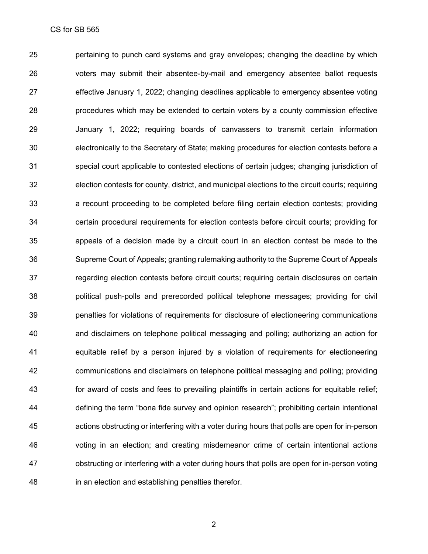pertaining to punch card systems and gray envelopes; changing the deadline by which voters may submit their absentee-by-mail and emergency absentee ballot requests effective January 1, 2022; changing deadlines applicable to emergency absentee voting procedures which may be extended to certain voters by a county commission effective January 1, 2022; requiring boards of canvassers to transmit certain information electronically to the Secretary of State; making procedures for election contests before a special court applicable to contested elections of certain judges; changing jurisdiction of election contests for county, district, and municipal elections to the circuit courts; requiring a recount proceeding to be completed before filing certain election contests; providing certain procedural requirements for election contests before circuit courts; providing for appeals of a decision made by a circuit court in an election contest be made to the Supreme Court of Appeals; granting rulemaking authority to the Supreme Court of Appeals regarding election contests before circuit courts; requiring certain disclosures on certain political push-polls and prerecorded political telephone messages; providing for civil penalties for violations of requirements for disclosure of electioneering communications and disclaimers on telephone political messaging and polling; authorizing an action for equitable relief by a person injured by a violation of requirements for electioneering communications and disclaimers on telephone political messaging and polling; providing for award of costs and fees to prevailing plaintiffs in certain actions for equitable relief; defining the term "bona fide survey and opinion research"; prohibiting certain intentional actions obstructing or interfering with a voter during hours that polls are open for in-person voting in an election; and creating misdemeanor crime of certain intentional actions obstructing or interfering with a voter during hours that polls are open for in-person voting in an election and establishing penalties therefor.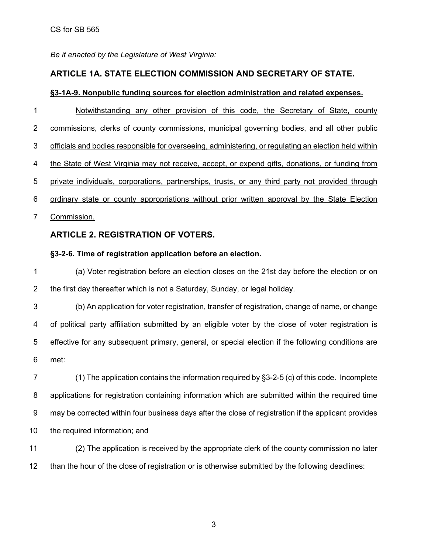*Be it enacted by the Legislature of West Virginia:*

## **ARTICLE 1A. STATE ELECTION COMMISSION AND SECRETARY OF STATE.**

## **§3-1A-9. Nonpublic funding sources for election administration and related expenses.**

1 Notwithstanding any other provision of this code, the Secretary of State, county 2 commissions, clerks of county commissions, municipal governing bodies, and all other public officials and bodies responsible for overseeing, administering, or regulating an election held within the State of West Virginia may not receive, accept, or expend gifts, donations, or funding from private individuals, corporations, partnerships, trusts, or any third party not provided through ordinary state or county appropriations without prior written approval by the State Election Commission.

## **ARTICLE 2. REGISTRATION OF VOTERS.**

## **§3-2-6. Time of registration application before an election.**

 (a) Voter registration before an election closes on the 21st day before the election or on the first day thereafter which is not a Saturday, Sunday, or legal holiday.

 (b) An application for voter registration, transfer of registration, change of name, or change of political party affiliation submitted by an eligible voter by the close of voter registration is effective for any subsequent primary, general, or special election if the following conditions are met:

 (1) The application contains the information required by §3-2-5 (c) of this code. Incomplete applications for registration containing information which are submitted within the required time may be corrected within four business days after the close of registration if the applicant provides the required information; and

 (2) The application is received by the appropriate clerk of the county commission no later than the hour of the close of registration or is otherwise submitted by the following deadlines: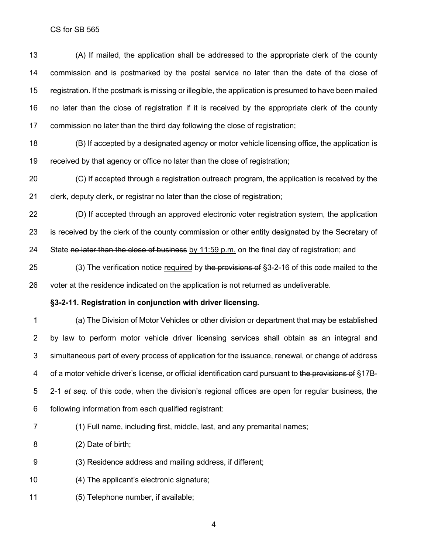(A) If mailed, the application shall be addressed to the appropriate clerk of the county commission and is postmarked by the postal service no later than the date of the close of registration. If the postmark is missing or illegible, the application is presumed to have been mailed no later than the close of registration if it is received by the appropriate clerk of the county commission no later than the third day following the close of registration;

 (B) If accepted by a designated agency or motor vehicle licensing office, the application is received by that agency or office no later than the close of registration;

 (C) If accepted through a registration outreach program, the application is received by the clerk, deputy clerk, or registrar no later than the close of registration;

 (D) If accepted through an approved electronic voter registration system, the application is received by the clerk of the county commission or other entity designated by the Secretary of 24 State no later than the close of business by 11:59 p.m. on the final day of registration; and

25 (3) The verification notice required by the provisions of §3-2-16 of this code mailed to the voter at the residence indicated on the application is not returned as undeliverable.

#### **§3-2-11. Registration in conjunction with driver licensing.**

 (a) The Division of Motor Vehicles or other division or department that may be established by law to perform motor vehicle driver licensing services shall obtain as an integral and simultaneous part of every process of application for the issuance, renewal, or change of address 4 of a motor vehicle driver's license, or official identification card pursuant to the provisions of §17B- 2-1 *et seq.* of this code, when the division's regional offices are open for regular business, the following information from each qualified registrant:

- (1) Full name, including first, middle, last, and any premarital names;
- (2) Date of birth;
- (3) Residence address and mailing address, if different;
- (4) The applicant's electronic signature;
- (5) Telephone number, if available;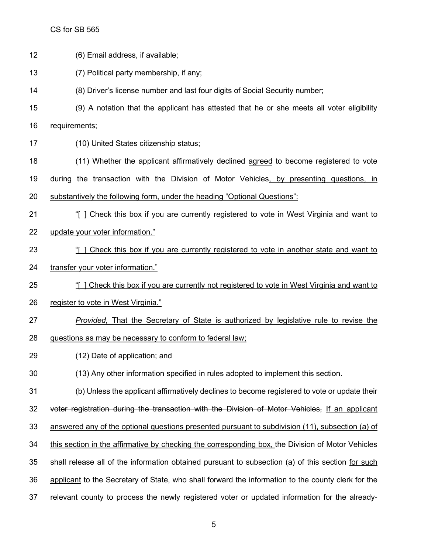| 12 | (6) Email address, if available;                                                                   |
|----|----------------------------------------------------------------------------------------------------|
| 13 | (7) Political party membership, if any;                                                            |
| 14 | (8) Driver's license number and last four digits of Social Security number;                        |
| 15 | (9) A notation that the applicant has attested that he or she meets all voter eligibility          |
| 16 | requirements;                                                                                      |
| 17 | (10) United States citizenship status;                                                             |
| 18 | (11) Whether the applicant affirmatively declined agreed to become registered to vote              |
| 19 | during the transaction with the Division of Motor Vehicles, by presenting questions, in            |
| 20 | substantively the following form, under the heading "Optional Questions":                          |
| 21 | "[ ] Check this box if you are currently registered to vote in West Virginia and want to           |
| 22 | update your voter information."                                                                    |
| 23 | "[] Check this box if you are currently registered to vote in another state and want to            |
| 24 | transfer your voter information."                                                                  |
| 25 | "[] Check this box if you are currently not registered to vote in West Virginia and want to        |
| 26 | register to vote in West Virginia."                                                                |
| 27 | Provided. That the Secretary of State is authorized by legislative rule to revise the              |
| 28 | questions as may be necessary to conform to federal law;                                           |
| 29 | (12) Date of application; and                                                                      |
| 30 | (13) Any other information specified in rules adopted to implement this section.                   |
| 31 | (b) Unless the applicant affirmatively declines to become registered to vote or update their       |
| 32 | voter registration during the transaction with the Division of Motor Vehicles, If an applicant     |
| 33 | answered any of the optional questions presented pursuant to subdivision (11), subsection (a) of   |
| 34 | this section in the affirmative by checking the corresponding box, the Division of Motor Vehicles  |
| 35 | shall release all of the information obtained pursuant to subsection (a) of this section for such  |
| 36 | applicant to the Secretary of State, who shall forward the information to the county clerk for the |
| 37 | relevant county to process the newly registered voter or updated information for the already-      |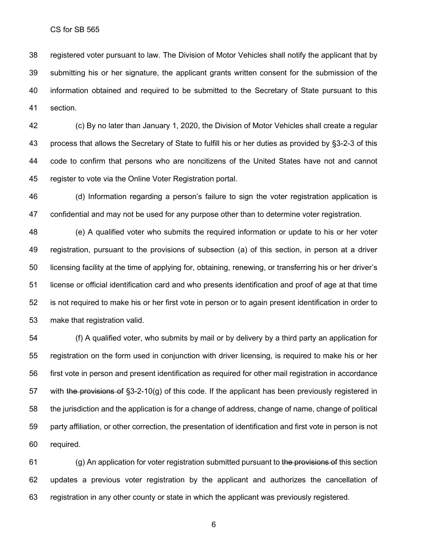registered voter pursuant to law. The Division of Motor Vehicles shall notify the applicant that by submitting his or her signature, the applicant grants written consent for the submission of the information obtained and required to be submitted to the Secretary of State pursuant to this section.

 (c) By no later than January 1, 2020, the Division of Motor Vehicles shall create a regular process that allows the Secretary of State to fulfill his or her duties as provided by §3-2-3 of this code to confirm that persons who are noncitizens of the United States have not and cannot register to vote via the Online Voter Registration portal.

 (d) Information regarding a person's failure to sign the voter registration application is confidential and may not be used for any purpose other than to determine voter registration.

 (e) A qualified voter who submits the required information or update to his or her voter registration, pursuant to the provisions of subsection (a) of this section, in person at a driver licensing facility at the time of applying for, obtaining, renewing, or transferring his or her driver's license or official identification card and who presents identification and proof of age at that time is not required to make his or her first vote in person or to again present identification in order to make that registration valid.

 (f) A qualified voter, who submits by mail or by delivery by a third party an application for registration on the form used in conjunction with driver licensing, is required to make his or her first vote in person and present identification as required for other mail registration in accordance 57 with the provisions of  $\S 3$ -2-10(g) of this code. If the applicant has been previously registered in the jurisdiction and the application is for a change of address, change of name, change of political party affiliation, or other correction, the presentation of identification and first vote in person is not required.

 (g) An application for voter registration submitted pursuant to the provisions of this section updates a previous voter registration by the applicant and authorizes the cancellation of registration in any other county or state in which the applicant was previously registered.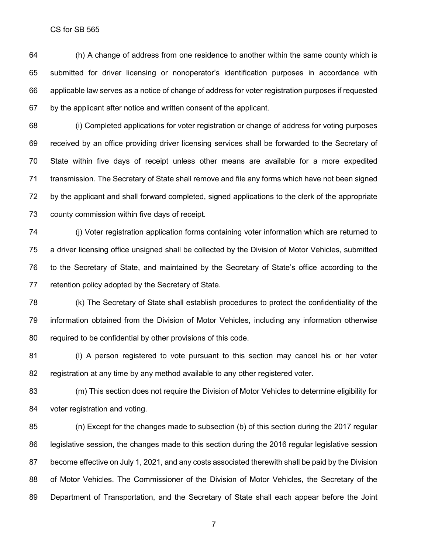(h) A change of address from one residence to another within the same county which is submitted for driver licensing or nonoperator's identification purposes in accordance with applicable law serves as a notice of change of address for voter registration purposes if requested by the applicant after notice and written consent of the applicant.

 (i) Completed applications for voter registration or change of address for voting purposes received by an office providing driver licensing services shall be forwarded to the Secretary of State within five days of receipt unless other means are available for a more expedited transmission. The Secretary of State shall remove and file any forms which have not been signed by the applicant and shall forward completed, signed applications to the clerk of the appropriate county commission within five days of receipt.

 (j) Voter registration application forms containing voter information which are returned to a driver licensing office unsigned shall be collected by the Division of Motor Vehicles, submitted to the Secretary of State, and maintained by the Secretary of State's office according to the retention policy adopted by the Secretary of State.

 (k) The Secretary of State shall establish procedures to protect the confidentiality of the information obtained from the Division of Motor Vehicles, including any information otherwise required to be confidential by other provisions of this code.

 (l) A person registered to vote pursuant to this section may cancel his or her voter registration at any time by any method available to any other registered voter.

 (m) This section does not require the Division of Motor Vehicles to determine eligibility for voter registration and voting.

 (n) Except for the changes made to subsection (b) of this section during the 2017 regular legislative session, the changes made to this section during the 2016 regular legislative session become effective on July 1, 2021, and any costs associated therewith shall be paid by the Division 88 of Motor Vehicles. The Commissioner of the Division of Motor Vehicles, the Secretary of the Department of Transportation, and the Secretary of State shall each appear before the Joint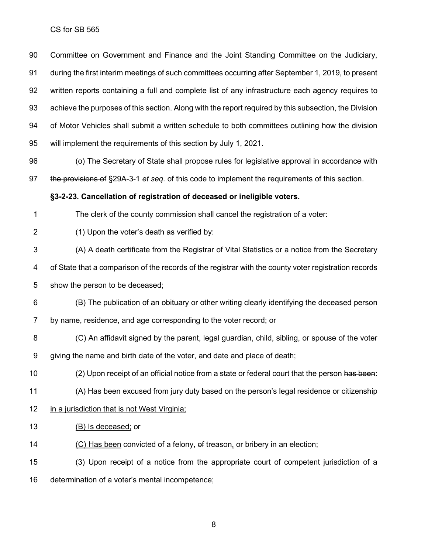Committee on Government and Finance and the Joint Standing Committee on the Judiciary, during the first interim meetings of such committees occurring after September 1, 2019, to present written reports containing a full and complete list of any infrastructure each agency requires to achieve the purposes of this section. Along with the report required by this subsection, the Division of Motor Vehicles shall submit a written schedule to both committees outlining how the division will implement the requirements of this section by July 1, 2021.

 (o) The Secretary of State shall propose rules for legislative approval in accordance with the provisions of §29A-3-1 *et seq.* of this code to implement the requirements of this section.

## **§3-2-23. Cancellation of registration of deceased or ineligible voters.**

The clerk of the county commission shall cancel the registration of a voter:

(1) Upon the voter's death as verified by:

(A) A death certificate from the Registrar of Vital Statistics or a notice from the Secretary

of State that a comparison of the records of the registrar with the county voter registration records

show the person to be deceased;

 (B) The publication of an obituary or other writing clearly identifying the deceased person by name, residence, and age corresponding to the voter record; or

 (C) An affidavit signed by the parent, legal guardian, child, sibling, or spouse of the voter giving the name and birth date of the voter, and date and place of death;

10 (2) Upon receipt of an official notice from a state or federal court that the person has been:

(A) Has been excused from jury duty based on the person's legal residence or citizenship

- in a jurisdiction that is not West Virginia;
- 13 (B) Is deceased; or

14 (C) Has been convicted of a felony, of treason, or bribery in an election;

 (3) Upon receipt of a notice from the appropriate court of competent jurisdiction of a determination of a voter's mental incompetence;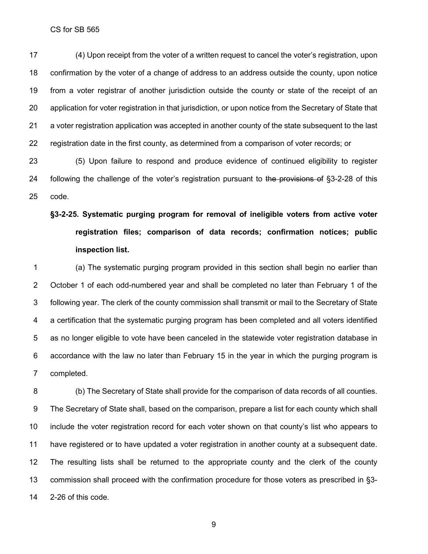(4) Upon receipt from the voter of a written request to cancel the voter's registration, upon confirmation by the voter of a change of address to an address outside the county, upon notice from a voter registrar of another jurisdiction outside the county or state of the receipt of an application for voter registration in that jurisdiction, or upon notice from the Secretary of State that a voter registration application was accepted in another county of the state subsequent to the last registration date in the first county, as determined from a comparison of voter records; or

 (5) Upon failure to respond and produce evidence of continued eligibility to register 24 following the challenge of the voter's registration pursuant to the provisions of §3-2-28 of this code.

# **§3-2-25. Systematic purging program for removal of ineligible voters from active voter registration files; comparison of data records; confirmation notices; public inspection list.**

 (a) The systematic purging program provided in this section shall begin no earlier than October 1 of each odd-numbered year and shall be completed no later than February 1 of the following year. The clerk of the county commission shall transmit or mail to the Secretary of State a certification that the systematic purging program has been completed and all voters identified as no longer eligible to vote have been canceled in the statewide voter registration database in accordance with the law no later than February 15 in the year in which the purging program is completed.

 (b) The Secretary of State shall provide for the comparison of data records of all counties. The Secretary of State shall, based on the comparison, prepare a list for each county which shall include the voter registration record for each voter shown on that county's list who appears to have registered or to have updated a voter registration in another county at a subsequent date. The resulting lists shall be returned to the appropriate county and the clerk of the county commission shall proceed with the confirmation procedure for those voters as prescribed in §3- 2-26 of this code.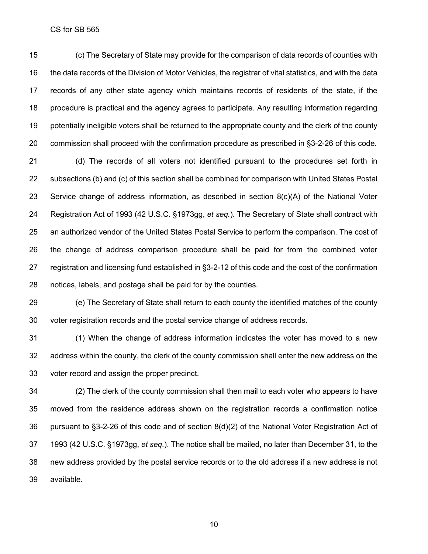(c) The Secretary of State may provide for the comparison of data records of counties with the data records of the Division of Motor Vehicles, the registrar of vital statistics, and with the data records of any other state agency which maintains records of residents of the state, if the procedure is practical and the agency agrees to participate. Any resulting information regarding potentially ineligible voters shall be returned to the appropriate county and the clerk of the county commission shall proceed with the confirmation procedure as prescribed in §3-2-26 of this code.

 (d) The records of all voters not identified pursuant to the procedures set forth in subsections (b) and (c) of this section shall be combined for comparison with United States Postal Service change of address information, as described in section 8(c)(A) of the National Voter Registration Act of 1993 (42 U.S.C. §1973gg, *et seq.*). The Secretary of State shall contract with an authorized vendor of the United States Postal Service to perform the comparison. The cost of the change of address comparison procedure shall be paid for from the combined voter registration and licensing fund established in §3-2-12 of this code and the cost of the confirmation notices, labels, and postage shall be paid for by the counties.

 (e) The Secretary of State shall return to each county the identified matches of the county voter registration records and the postal service change of address records.

 (1) When the change of address information indicates the voter has moved to a new address within the county, the clerk of the county commission shall enter the new address on the voter record and assign the proper precinct.

 (2) The clerk of the county commission shall then mail to each voter who appears to have moved from the residence address shown on the registration records a confirmation notice pursuant to §3-2-26 of this code and of section 8(d)(2) of the National Voter Registration Act of 1993 (42 U.S.C. §1973gg, *et seq.*). The notice shall be mailed, no later than December 31, to the new address provided by the postal service records or to the old address if a new address is not available.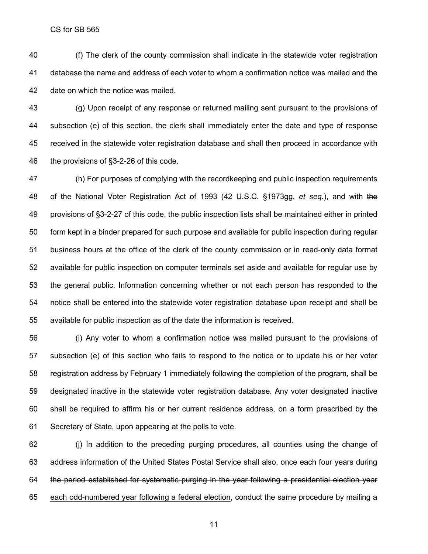(f) The clerk of the county commission shall indicate in the statewide voter registration database the name and address of each voter to whom a confirmation notice was mailed and the date on which the notice was mailed.

 (g) Upon receipt of any response or returned mailing sent pursuant to the provisions of subsection (e) of this section, the clerk shall immediately enter the date and type of response received in the statewide voter registration database and shall then proceed in accordance with 46 the provisions of §3-2-26 of this code.

 (h) For purposes of complying with the recordkeeping and public inspection requirements of the National Voter Registration Act of 1993 (42 U.S.C. §1973gg, *et seq.*), and with the provisions of §3-2-27 of this code, the public inspection lists shall be maintained either in printed form kept in a binder prepared for such purpose and available for public inspection during regular business hours at the office of the clerk of the county commission or in read-only data format available for public inspection on computer terminals set aside and available for regular use by the general public. Information concerning whether or not each person has responded to the notice shall be entered into the statewide voter registration database upon receipt and shall be available for public inspection as of the date the information is received.

 (i) Any voter to whom a confirmation notice was mailed pursuant to the provisions of subsection (e) of this section who fails to respond to the notice or to update his or her voter registration address by February 1 immediately following the completion of the program, shall be designated inactive in the statewide voter registration database. Any voter designated inactive shall be required to affirm his or her current residence address, on a form prescribed by the Secretary of State, upon appearing at the polls to vote.

 (j) In addition to the preceding purging procedures, all counties using the change of 63 address information of the United States Postal Service shall also, once each four years during the period established for systematic purging in the year following a presidential election year each odd-numbered year following a federal election, conduct the same procedure by mailing a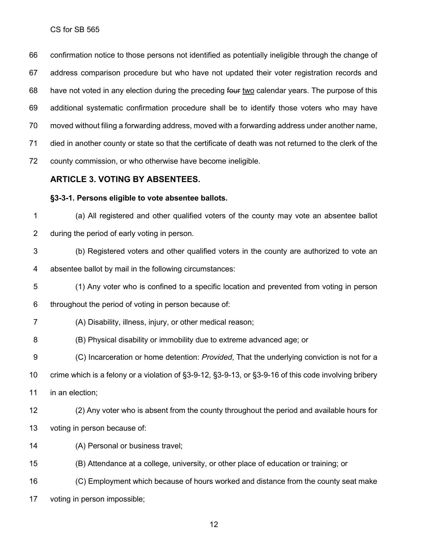confirmation notice to those persons not identified as potentially ineligible through the change of address comparison procedure but who have not updated their voter registration records and have not voted in any election during the preceding four two calendar years. The purpose of this additional systematic confirmation procedure shall be to identify those voters who may have moved without filing a forwarding address, moved with a forwarding address under another name, died in another county or state so that the certificate of death was not returned to the clerk of the county commission, or who otherwise have become ineligible.

## **ARTICLE 3. VOTING BY ABSENTEES.**

#### **§3-3-1. Persons eligible to vote absentee ballots.**

 (a) All registered and other qualified voters of the county may vote an absentee ballot during the period of early voting in person.

 (b) Registered voters and other qualified voters in the county are authorized to vote an absentee ballot by mail in the following circumstances:

(1) Any voter who is confined to a specific location and prevented from voting in person

throughout the period of voting in person because of:

## (A) Disability, illness, injury, or other medical reason;

(B) Physical disability or immobility due to extreme advanced age; or

(C) Incarceration or home detention: *Provided*, That the underlying conviction is not for a

crime which is a felony or a violation of §3-9-12, §3-9-13, or §3-9-16 of this code involving bribery

in an election;

 (2) Any voter who is absent from the county throughout the period and available hours for voting in person because of:

(A) Personal or business travel;

(B) Attendance at a college, university, or other place of education or training; or

(C) Employment which because of hours worked and distance from the county seat make

voting in person impossible;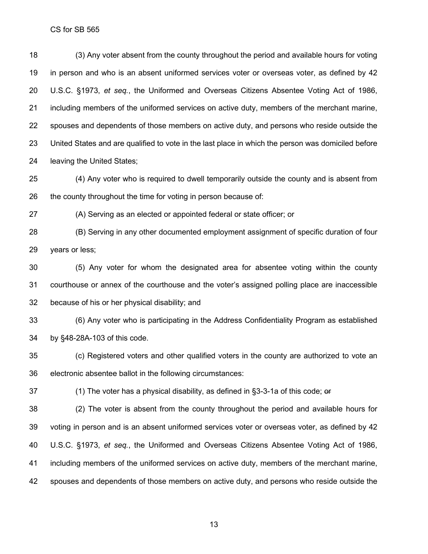(3) Any voter absent from the county throughout the period and available hours for voting in person and who is an absent uniformed services voter or overseas voter, as defined by 42 U.S.C. §1973, *et seq.*, the Uniformed and Overseas Citizens Absentee Voting Act of 1986, including members of the uniformed services on active duty, members of the merchant marine, spouses and dependents of those members on active duty, and persons who reside outside the United States and are qualified to vote in the last place in which the person was domiciled before leaving the United States;

 (4) Any voter who is required to dwell temporarily outside the county and is absent from 26 the county throughout the time for voting in person because of:

(A) Serving as an elected or appointed federal or state officer; or

 (B) Serving in any other documented employment assignment of specific duration of four years or less;

 (5) Any voter for whom the designated area for absentee voting within the county courthouse or annex of the courthouse and the voter's assigned polling place are inaccessible because of his or her physical disability; and

 (6) Any voter who is participating in the Address Confidentiality Program as established by §48-28A-103 of this code.

 (c) Registered voters and other qualified voters in the county are authorized to vote an electronic absentee ballot in the following circumstances:

(1) The voter has a physical disability, as defined in §3-3-1a of this code; or

 (2) The voter is absent from the county throughout the period and available hours for voting in person and is an absent uniformed services voter or overseas voter, as defined by 42 U.S.C. §1973, *et seq.*, the Uniformed and Overseas Citizens Absentee Voting Act of 1986, including members of the uniformed services on active duty, members of the merchant marine, 42 spouses and dependents of those members on active duty, and persons who reside outside the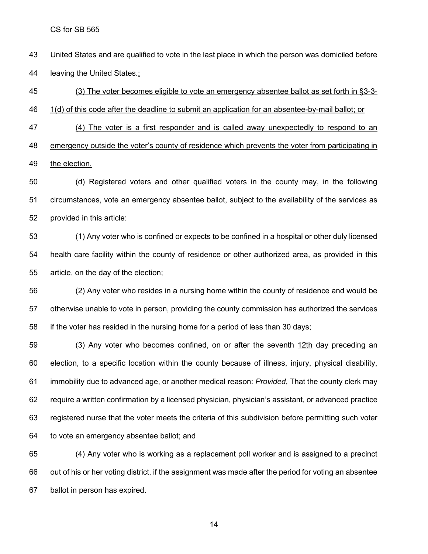United States and are qualified to vote in the last place in which the person was domiciled before 44 leaving the United States.;

 (3) The voter becomes eligible to vote an emergency absentee ballot as set forth in §3-3- 1(d) of this code after the deadline to submit an application for an absentee-by-mail ballot; or (4) The voter is a first responder and is called away unexpectedly to respond to an emergency outside the voter's county of residence which prevents the voter from participating in the election.

 (d) Registered voters and other qualified voters in the county may, in the following circumstances, vote an emergency absentee ballot, subject to the availability of the services as provided in this article:

 (1) Any voter who is confined or expects to be confined in a hospital or other duly licensed health care facility within the county of residence or other authorized area, as provided in this article, on the day of the election;

 (2) Any voter who resides in a nursing home within the county of residence and would be otherwise unable to vote in person, providing the county commission has authorized the services if the voter has resided in the nursing home for a period of less than 30 days;

59 (3) Any voter who becomes confined, on or after the seventh 12th day preceding an election, to a specific location within the county because of illness, injury, physical disability, immobility due to advanced age, or another medical reason: *Provided*, That the county clerk may require a written confirmation by a licensed physician, physician's assistant, or advanced practice registered nurse that the voter meets the criteria of this subdivision before permitting such voter to vote an emergency absentee ballot; and

 (4) Any voter who is working as a replacement poll worker and is assigned to a precinct out of his or her voting district, if the assignment was made after the period for voting an absentee ballot in person has expired.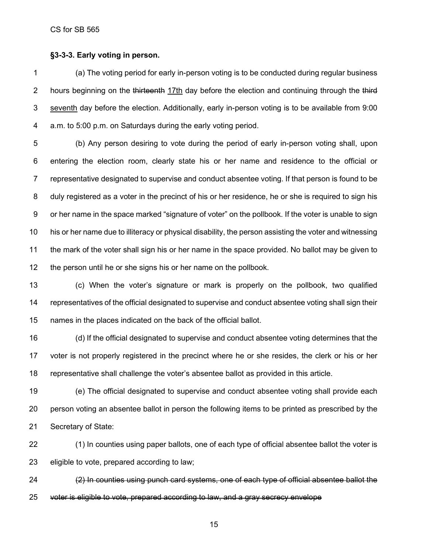#### **§3-3-3. Early voting in person.**

 (a) The voting period for early in-person voting is to be conducted during regular business 2 hours beginning on the thirteenth 17th day before the election and continuing through the third seventh day before the election. Additionally, early in-person voting is to be available from 9:00 a.m. to 5:00 p.m. on Saturdays during the early voting period.

 (b) Any person desiring to vote during the period of early in-person voting shall, upon entering the election room, clearly state his or her name and residence to the official or representative designated to supervise and conduct absentee voting. If that person is found to be duly registered as a voter in the precinct of his or her residence, he or she is required to sign his or her name in the space marked "signature of voter" on the pollbook. If the voter is unable to sign his or her name due to illiteracy or physical disability, the person assisting the voter and witnessing the mark of the voter shall sign his or her name in the space provided. No ballot may be given to the person until he or she signs his or her name on the pollbook.

 (c) When the voter's signature or mark is properly on the pollbook, two qualified representatives of the official designated to supervise and conduct absentee voting shall sign their names in the places indicated on the back of the official ballot.

 (d) If the official designated to supervise and conduct absentee voting determines that the voter is not properly registered in the precinct where he or she resides, the clerk or his or her representative shall challenge the voter's absentee ballot as provided in this article.

 (e) The official designated to supervise and conduct absentee voting shall provide each person voting an absentee ballot in person the following items to be printed as prescribed by the Secretary of State:

 (1) In counties using paper ballots, one of each type of official absentee ballot the voter is eligible to vote, prepared according to law;

 (2) In counties using punch card systems, one of each type of official absentee ballot the voter is eligible to vote, prepared according to law, and a gray secrecy envelope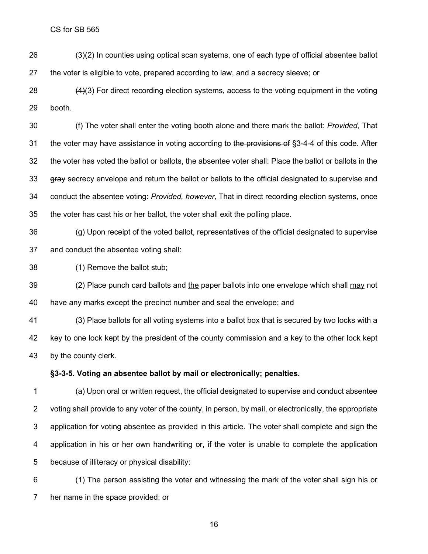$(3)(2)$  In counties using optical scan systems, one of each type of official absentee ballot the voter is eligible to vote, prepared according to law, and a secrecy sleeve; or

 $(4)(3)$  For direct recording election systems, access to the voting equipment in the voting booth.

 (f) The voter shall enter the voting booth alone and there mark the ballot: *Provided,* That 31 the voter may have assistance in voting according to the provisions of §3-4-4 of this code. After the voter has voted the ballot or ballots, the absentee voter shall: Place the ballot or ballots in the 33 gray secrecy envelope and return the ballot or ballots to the official designated to supervise and conduct the absentee voting: *Provided, however,* That in direct recording election systems, once the voter has cast his or her ballot, the voter shall exit the polling place.

 (g) Upon receipt of the voted ballot, representatives of the official designated to supervise and conduct the absentee voting shall:

(1) Remove the ballot stub;

39 (2) Place punch card ballots and the paper ballots into one envelope which shall may not have any marks except the precinct number and seal the envelope; and

 (3) Place ballots for all voting systems into a ballot box that is secured by two locks with a key to one lock kept by the president of the county commission and a key to the other lock kept by the county clerk.

## **§3-3-5. Voting an absentee ballot by mail or electronically; penalties.**

 (a) Upon oral or written request, the official designated to supervise and conduct absentee voting shall provide to any voter of the county, in person, by mail, or electronically, the appropriate application for voting absentee as provided in this article. The voter shall complete and sign the application in his or her own handwriting or, if the voter is unable to complete the application because of illiteracy or physical disability:

 (1) The person assisting the voter and witnessing the mark of the voter shall sign his or her name in the space provided; or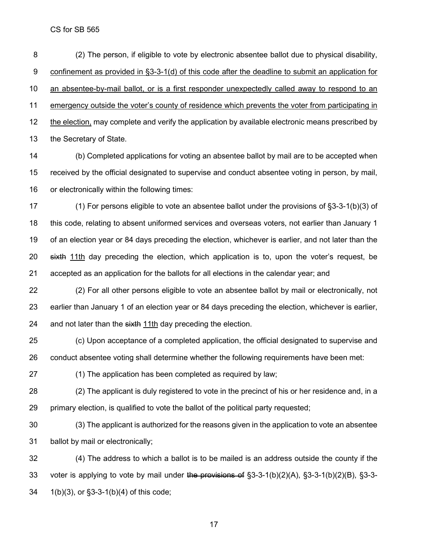(2) The person, if eligible to vote by electronic absentee ballot due to physical disability, 9 confinement as provided in §3-3-1(d) of this code after the deadline to submit an application for an absentee-by-mail ballot, or is a first responder unexpectedly called away to respond to an emergency outside the voter's county of residence which prevents the voter from participating in the election, may complete and verify the application by available electronic means prescribed by the Secretary of State.

 (b) Completed applications for voting an absentee ballot by mail are to be accepted when received by the official designated to supervise and conduct absentee voting in person, by mail, or electronically within the following times:

 (1) For persons eligible to vote an absentee ballot under the provisions of §3-3-1(b)(3) of this code, relating to absent uniformed services and overseas voters, not earlier than January 1 of an election year or 84 days preceding the election, whichever is earlier, and not later than the 20 sixth 11th day preceding the election, which application is to, upon the voter's request, be accepted as an application for the ballots for all elections in the calendar year; and

 (2) For all other persons eligible to vote an absentee ballot by mail or electronically, not earlier than January 1 of an election year or 84 days preceding the election, whichever is earlier, 24 and not later than the sixth 11th day preceding the election.

 (c) Upon acceptance of a completed application, the official designated to supervise and conduct absentee voting shall determine whether the following requirements have been met:

(1) The application has been completed as required by law;

 (2) The applicant is duly registered to vote in the precinct of his or her residence and, in a primary election, is qualified to vote the ballot of the political party requested;

 (3) The applicant is authorized for the reasons given in the application to vote an absentee ballot by mail or electronically;

 (4) The address to which a ballot is to be mailed is an address outside the county if the 33 voter is applying to vote by mail under the provisions of  $\S$ 3-3-1(b)(2)(A),  $\S$ 3-3-1(b)(2)(B),  $\S$ 3-3-1(b)(3), or §3-3-1(b)(4) of this code;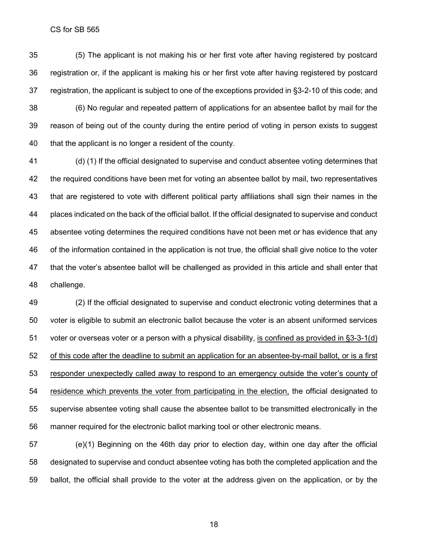(5) The applicant is not making his or her first vote after having registered by postcard registration or, if the applicant is making his or her first vote after having registered by postcard registration, the applicant is subject to one of the exceptions provided in §3-2-10 of this code; and (6) No regular and repeated pattern of applications for an absentee ballot by mail for the reason of being out of the county during the entire period of voting in person exists to suggest that the applicant is no longer a resident of the county.

 (d) (1) If the official designated to supervise and conduct absentee voting determines that the required conditions have been met for voting an absentee ballot by mail, two representatives that are registered to vote with different political party affiliations shall sign their names in the places indicated on the back of the official ballot. If the official designated to supervise and conduct absentee voting determines the required conditions have not been met or has evidence that any of the information contained in the application is not true, the official shall give notice to the voter that the voter's absentee ballot will be challenged as provided in this article and shall enter that challenge.

 (2) If the official designated to supervise and conduct electronic voting determines that a voter is eligible to submit an electronic ballot because the voter is an absent uniformed services voter or overseas voter or a person with a physical disability, is confined as provided in §3-3-1(d) of this code after the deadline to submit an application for an absentee-by-mail ballot, or is a first responder unexpectedly called away to respond to an emergency outside the voter's county of residence which prevents the voter from participating in the election, the official designated to supervise absentee voting shall cause the absentee ballot to be transmitted electronically in the manner required for the electronic ballot marking tool or other electronic means.

 (e)(1) Beginning on the 46th day prior to election day, within one day after the official designated to supervise and conduct absentee voting has both the completed application and the ballot, the official shall provide to the voter at the address given on the application, or by the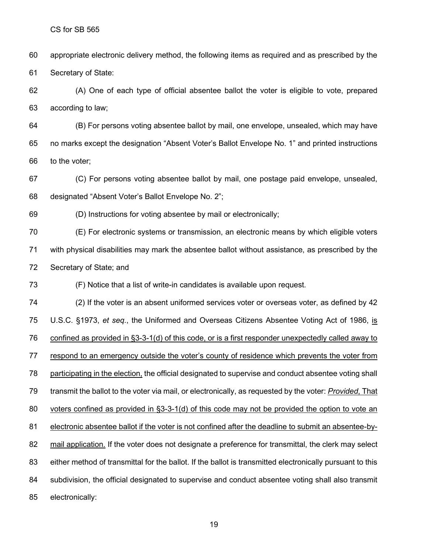appropriate electronic delivery method, the following items as required and as prescribed by the Secretary of State:

 (A) One of each type of official absentee ballot the voter is eligible to vote, prepared according to law;

 (B) For persons voting absentee ballot by mail, one envelope, unsealed, which may have no marks except the designation "Absent Voter's Ballot Envelope No. 1" and printed instructions to the voter;

 (C) For persons voting absentee ballot by mail, one postage paid envelope, unsealed, designated "Absent Voter's Ballot Envelope No. 2";

(D) Instructions for voting absentee by mail or electronically;

 (E) For electronic systems or transmission, an electronic means by which eligible voters with physical disabilities may mark the absentee ballot without assistance, as prescribed by the Secretary of State; and

(F) Notice that a list of write-in candidates is available upon request.

 (2) If the voter is an absent uniformed services voter or overseas voter, as defined by 42 U.S.C. §1973, *et seq.*, the Uniformed and Overseas Citizens Absentee Voting Act of 1986, is confined as provided in §3-3-1(d) of this code, or is a first responder unexpectedly called away to respond to an emergency outside the voter's county of residence which prevents the voter from participating in the election, the official designated to supervise and conduct absentee voting shall transmit the ballot to the voter via mail, or electronically, as requested by the voter: *Provided*, That voters confined as provided in §3-3-1(d) of this code may not be provided the option to vote an electronic absentee ballot if the voter is not confined after the deadline to submit an absentee-by- mail application. If the voter does not designate a preference for transmittal, the clerk may select either method of transmittal for the ballot. If the ballot is transmitted electronically pursuant to this subdivision, the official designated to supervise and conduct absentee voting shall also transmit electronically: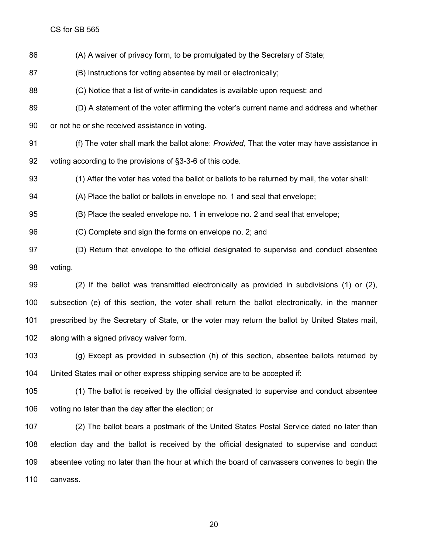(A) A waiver of privacy form, to be promulgated by the Secretary of State;

(B) Instructions for voting absentee by mail or electronically;

(C) Notice that a list of write-in candidates is available upon request; and

 (D) A statement of the voter affirming the voter's current name and address and whether or not he or she received assistance in voting.

 (f) The voter shall mark the ballot alone: *Provided,* That the voter may have assistance in voting according to the provisions of §3-3-6 of this code.

(1) After the voter has voted the ballot or ballots to be returned by mail, the voter shall:

(A) Place the ballot or ballots in envelope no. 1 and seal that envelope;

(B) Place the sealed envelope no. 1 in envelope no. 2 and seal that envelope;

(C) Complete and sign the forms on envelope no. 2; and

 (D) Return that envelope to the official designated to supervise and conduct absentee voting.

 (2) If the ballot was transmitted electronically as provided in subdivisions (1) or (2), subsection (e) of this section, the voter shall return the ballot electronically, in the manner prescribed by the Secretary of State, or the voter may return the ballot by United States mail, along with a signed privacy waiver form.

 (g) Except as provided in subsection (h) of this section, absentee ballots returned by United States mail or other express shipping service are to be accepted if:

 (1) The ballot is received by the official designated to supervise and conduct absentee voting no later than the day after the election; or

 (2) The ballot bears a postmark of the United States Postal Service dated no later than election day and the ballot is received by the official designated to supervise and conduct absentee voting no later than the hour at which the board of canvassers convenes to begin the canvass.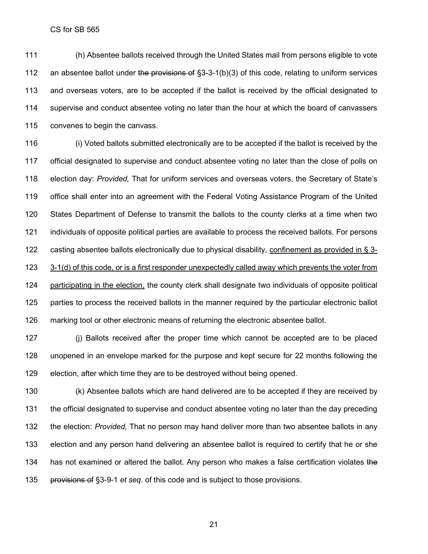(h) Absentee ballots received through the United States mail from persons eligible to vote 112 an absentee ballot under the provisions of  $\S$ 3-3-1(b)(3) of this code, relating to uniform services and overseas voters, are to be accepted if the ballot is received by the official designated to supervise and conduct absentee voting no later than the hour at which the board of canvassers convenes to begin the canvass.

 (i) Voted ballots submitted electronically are to be accepted if the ballot is received by the 117 official designated to supervise and conduct absentee voting no later than the close of polls on election day: *Provided,* That for uniform services and overseas voters, the Secretary of State's office shall enter into an agreement with the Federal Voting Assistance Program of the United States Department of Defense to transmit the ballots to the county clerks at a time when two individuals of opposite political parties are available to process the received ballots. For persons 122 casting absentee ballots electronically due to physical disability, confinement as provided in § 3- 3-1(d) of this code, or is a first responder unexpectedly called away which prevents the voter from participating in the election, the county clerk shall designate two individuals of opposite political parties to process the received ballots in the manner required by the particular electronic ballot marking tool or other electronic means of returning the electronic absentee ballot.

 (j) Ballots received after the proper time which cannot be accepted are to be placed unopened in an envelope marked for the purpose and kept secure for 22 months following the election, after which time they are to be destroyed without being opened.

 (k) Absentee ballots which are hand delivered are to be accepted if they are received by the official designated to supervise and conduct absentee voting no later than the day preceding the election: *Provided,* That no person may hand deliver more than two absentee ballots in any election and any person hand delivering an absentee ballot is required to certify that he or she 134 has not examined or altered the ballot. Any person who makes a false certification violates the provisions of §3-9-1 *et seq.* of this code and is subject to those provisions.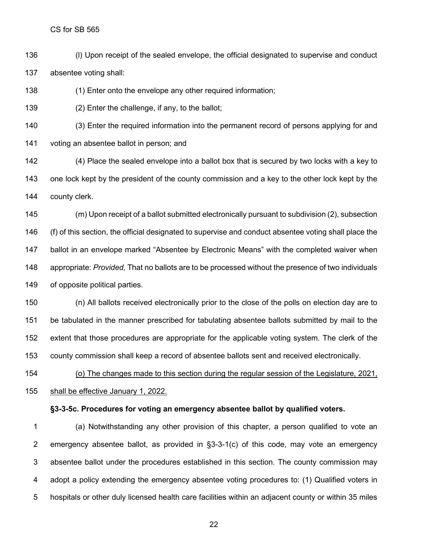(l) Upon receipt of the sealed envelope, the official designated to supervise and conduct absentee voting shall:

(1) Enter onto the envelope any other required information;

(2) Enter the challenge, if any, to the ballot;

 (3) Enter the required information into the permanent record of persons applying for and voting an absentee ballot in person; and

 (4) Place the sealed envelope into a ballot box that is secured by two locks with a key to one lock kept by the president of the county commission and a key to the other lock kept by the county clerk.

 (m) Upon receipt of a ballot submitted electronically pursuant to subdivision (2), subsection (f) of this section, the official designated to supervise and conduct absentee voting shall place the ballot in an envelope marked "Absentee by Electronic Means" with the completed waiver when appropriate: *Provided,* That no ballots are to be processed without the presence of two individuals of opposite political parties.

 (n) All ballots received electronically prior to the close of the polls on election day are to be tabulated in the manner prescribed for tabulating absentee ballots submitted by mail to the extent that those procedures are appropriate for the applicable voting system. The clerk of the county commission shall keep a record of absentee ballots sent and received electronically.

 (o) The changes made to this section during the regular session of the Legislature, 2021, shall be effective January 1, 2022.

#### **§3-3-5c. Procedures for voting an emergency absentee ballot by qualified voters.**

 (a) Notwithstanding any other provision of this chapter, a person qualified to vote an emergency absentee ballot, as provided in §3-3-1(c) of this code, may vote an emergency absentee ballot under the procedures established in this section. The county commission may adopt a policy extending the emergency absentee voting procedures to: (1) Qualified voters in hospitals or other duly licensed health care facilities within an adjacent county or within 35 miles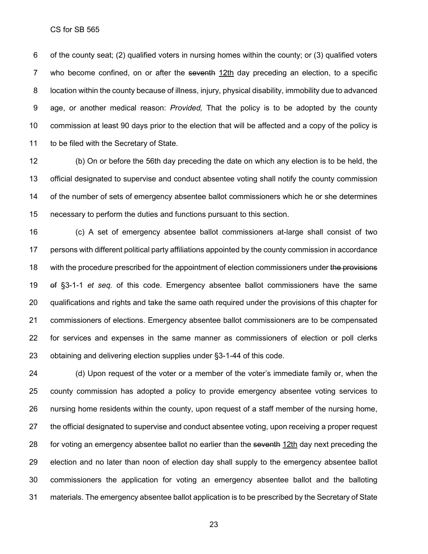of the county seat; (2) qualified voters in nursing homes within the county; or (3) qualified voters 7 who become confined, on or after the seventhe 12th day preceding an election, to a specific location within the county because of illness, injury, physical disability, immobility due to advanced age, or another medical reason: *Provided,* That the policy is to be adopted by the county commission at least 90 days prior to the election that will be affected and a copy of the policy is to be filed with the Secretary of State.

 (b) On or before the 56th day preceding the date on which any election is to be held, the official designated to supervise and conduct absentee voting shall notify the county commission of the number of sets of emergency absentee ballot commissioners which he or she determines necessary to perform the duties and functions pursuant to this section.

 (c) A set of emergency absentee ballot commissioners at-large shall consist of two persons with different political party affiliations appointed by the county commission in accordance 18 with the procedure prescribed for the appointment of election commissioners under the provisions of §3-1-1 *et seq.* of this code. Emergency absentee ballot commissioners have the same qualifications and rights and take the same oath required under the provisions of this chapter for commissioners of elections. Emergency absentee ballot commissioners are to be compensated for services and expenses in the same manner as commissioners of election or poll clerks obtaining and delivering election supplies under §3-1-44 of this code.

 (d) Upon request of the voter or a member of the voter's immediate family or, when the county commission has adopted a policy to provide emergency absentee voting services to nursing home residents within the county, upon request of a staff member of the nursing home, the official designated to supervise and conduct absentee voting, upon receiving a proper request 28 for voting an emergency absentee ballot no earlier than the seventh 12th day next preceding the election and no later than noon of election day shall supply to the emergency absentee ballot commissioners the application for voting an emergency absentee ballot and the balloting materials. The emergency absentee ballot application is to be prescribed by the Secretary of State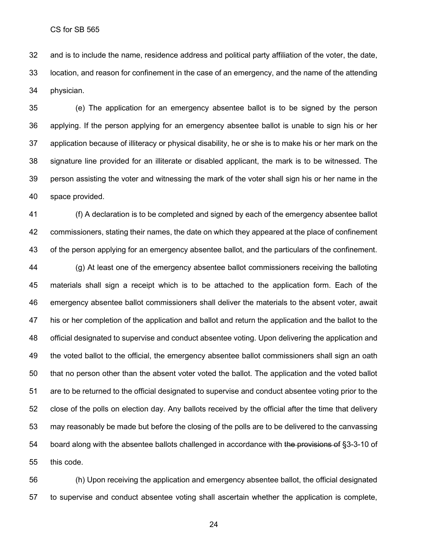and is to include the name, residence address and political party affiliation of the voter, the date, location, and reason for confinement in the case of an emergency, and the name of the attending physician.

 (e) The application for an emergency absentee ballot is to be signed by the person applying. If the person applying for an emergency absentee ballot is unable to sign his or her application because of illiteracy or physical disability, he or she is to make his or her mark on the signature line provided for an illiterate or disabled applicant, the mark is to be witnessed. The person assisting the voter and witnessing the mark of the voter shall sign his or her name in the space provided.

 (f) A declaration is to be completed and signed by each of the emergency absentee ballot commissioners, stating their names, the date on which they appeared at the place of confinement of the person applying for an emergency absentee ballot, and the particulars of the confinement. (g) At least one of the emergency absentee ballot commissioners receiving the balloting materials shall sign a receipt which is to be attached to the application form. Each of the emergency absentee ballot commissioners shall deliver the materials to the absent voter, await his or her completion of the application and ballot and return the application and the ballot to the official designated to supervise and conduct absentee voting. Upon delivering the application and 49 the voted ballot to the official, the emergency absentee ballot commissioners shall sign an oath that no person other than the absent voter voted the ballot. The application and the voted ballot are to be returned to the official designated to supervise and conduct absentee voting prior to the close of the polls on election day. Any ballots received by the official after the time that delivery may reasonably be made but before the closing of the polls are to be delivered to the canvassing 54 board along with the absentee ballots challenged in accordance with the provisions of §3-3-10 of this code.

 (h) Upon receiving the application and emergency absentee ballot, the official designated to supervise and conduct absentee voting shall ascertain whether the application is complete,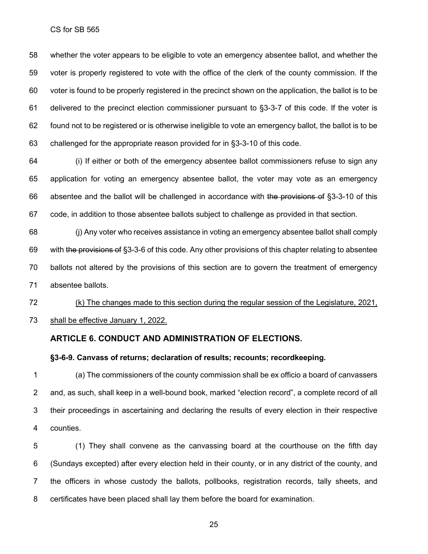whether the voter appears to be eligible to vote an emergency absentee ballot, and whether the voter is properly registered to vote with the office of the clerk of the county commission. If the voter is found to be properly registered in the precinct shown on the application, the ballot is to be delivered to the precinct election commissioner pursuant to §3-3-7 of this code. If the voter is found not to be registered or is otherwise ineligible to vote an emergency ballot, the ballot is to be challenged for the appropriate reason provided for in §3-3-10 of this code.

 (i) If either or both of the emergency absentee ballot commissioners refuse to sign any application for voting an emergency absentee ballot, the voter may vote as an emergency absentee and the ballot will be challenged in accordance with the provisions of §3-3-10 of this code, in addition to those absentee ballots subject to challenge as provided in that section.

 (j) Any voter who receives assistance in voting an emergency absentee ballot shall comply with the provisions of §3-3-6 of this code. Any other provisions of this chapter relating to absentee ballots not altered by the provisions of this section are to govern the treatment of emergency absentee ballots.

 (k) The changes made to this section during the regular session of the Legislature, 2021, shall be effective January 1, 2022.

## **ARTICLE 6. CONDUCT AND ADMINISTRATION OF ELECTIONS.**

#### **§3-6-9. Canvass of returns; declaration of results; recounts; recordkeeping.**

 (a) The commissioners of the county commission shall be ex officio a board of canvassers and, as such, shall keep in a well-bound book, marked "election record", a complete record of all their proceedings in ascertaining and declaring the results of every election in their respective counties.

 (1) They shall convene as the canvassing board at the courthouse on the fifth day (Sundays excepted) after every election held in their county, or in any district of the county, and the officers in whose custody the ballots, pollbooks, registration records, tally sheets, and certificates have been placed shall lay them before the board for examination.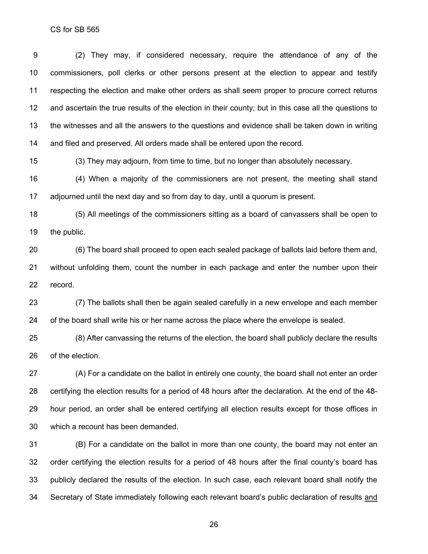(2) They may, if considered necessary, require the attendance of any of the commissioners, poll clerks or other persons present at the election to appear and testify respecting the election and make other orders as shall seem proper to procure correct returns and ascertain the true results of the election in their county; but in this case all the questions to the witnesses and all the answers to the questions and evidence shall be taken down in writing and filed and preserved. All orders made shall be entered upon the record.

(3) They may adjourn, from time to time, but no longer than absolutely necessary.

 (4) When a majority of the commissioners are not present, the meeting shall stand adjourned until the next day and so from day to day, until a quorum is present.

 (5) All meetings of the commissioners sitting as a board of canvassers shall be open to the public.

 (6) The board shall proceed to open each sealed package of ballots laid before them and, without unfolding them, count the number in each package and enter the number upon their record.

 (7) The ballots shall then be again sealed carefully in a new envelope and each member of the board shall write his or her name across the place where the envelope is sealed.

 (8) After canvassing the returns of the election, the board shall publicly declare the results of the election.

 (A) For a candidate on the ballot in entirely one county, the board shall not enter an order certifying the election results for a period of 48 hours after the declaration. At the end of the 48- hour period, an order shall be entered certifying all election results except for those offices in which a recount has been demanded.

 (B) For a candidate on the ballot in more than one county, the board may not enter an order certifying the election results for a period of 48 hours after the final county's board has publicly declared the results of the election. In such case, each relevant board shall notify the Secretary of State immediately following each relevant board's public declaration of results and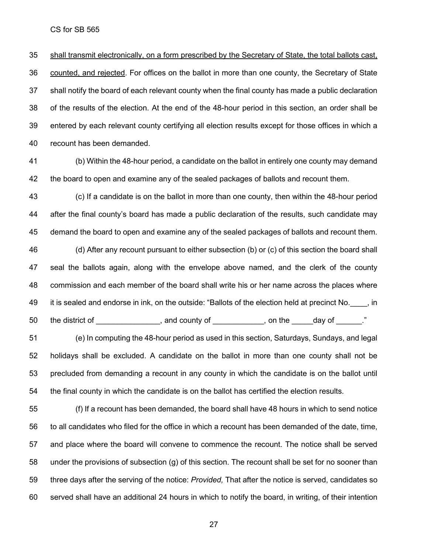shall transmit electronically, on a form prescribed by the Secretary of State, the total ballots cast, counted, and rejected. For offices on the ballot in more than one county, the Secretary of State shall notify the board of each relevant county when the final county has made a public declaration of the results of the election. At the end of the 48-hour period in this section, an order shall be entered by each relevant county certifying all election results except for those offices in which a recount has been demanded.

 (b) Within the 48-hour period, a candidate on the ballot in entirely one county may demand the board to open and examine any of the sealed packages of ballots and recount them.

 (c) If a candidate is on the ballot in more than one county, then within the 48-hour period after the final county's board has made a public declaration of the results, such candidate may demand the board to open and examine any of the sealed packages of ballots and recount them.

 (d) After any recount pursuant to either subsection (b) or (c) of this section the board shall seal the ballots again, along with the envelope above named, and the clerk of the county commission and each member of the board shall write his or her name across the places where 49 it is sealed and endorse in ink, on the outside: "Ballots of the election held at precinct No.  $\qquad$ , in 50 the district of \_\_\_\_\_\_\_\_\_\_\_\_\_, and county of \_\_\_\_\_\_\_\_\_, on the \_\_\_\_\_day of \_\_\_\_\_."

 (e) In computing the 48-hour period as used in this section, Saturdays, Sundays, and legal holidays shall be excluded. A candidate on the ballot in more than one county shall not be precluded from demanding a recount in any county in which the candidate is on the ballot until the final county in which the candidate is on the ballot has certified the election results.

 (f) If a recount has been demanded, the board shall have 48 hours in which to send notice to all candidates who filed for the office in which a recount has been demanded of the date, time, and place where the board will convene to commence the recount. The notice shall be served under the provisions of subsection (g) of this section. The recount shall be set for no sooner than three days after the serving of the notice: *Provided,* That after the notice is served, candidates so served shall have an additional 24 hours in which to notify the board, in writing, of their intention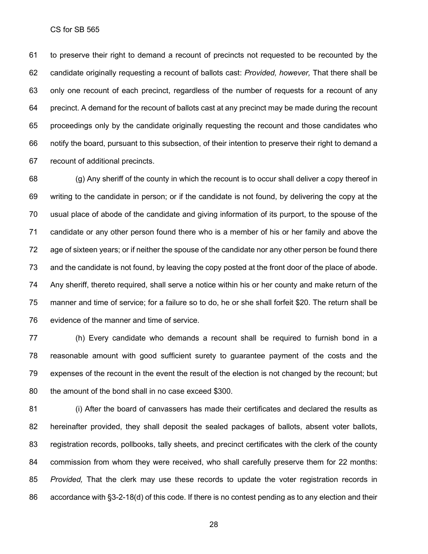to preserve their right to demand a recount of precincts not requested to be recounted by the candidate originally requesting a recount of ballots cast: *Provided, however,* That there shall be only one recount of each precinct, regardless of the number of requests for a recount of any precinct. A demand for the recount of ballots cast at any precinct may be made during the recount proceedings only by the candidate originally requesting the recount and those candidates who notify the board, pursuant to this subsection, of their intention to preserve their right to demand a recount of additional precincts.

 (g) Any sheriff of the county in which the recount is to occur shall deliver a copy thereof in writing to the candidate in person; or if the candidate is not found, by delivering the copy at the usual place of abode of the candidate and giving information of its purport, to the spouse of the candidate or any other person found there who is a member of his or her family and above the age of sixteen years; or if neither the spouse of the candidate nor any other person be found there and the candidate is not found, by leaving the copy posted at the front door of the place of abode. Any sheriff, thereto required, shall serve a notice within his or her county and make return of the manner and time of service; for a failure so to do, he or she shall forfeit \$20. The return shall be evidence of the manner and time of service.

 (h) Every candidate who demands a recount shall be required to furnish bond in a reasonable amount with good sufficient surety to guarantee payment of the costs and the expenses of the recount in the event the result of the election is not changed by the recount; but the amount of the bond shall in no case exceed \$300.

 (i) After the board of canvassers has made their certificates and declared the results as hereinafter provided, they shall deposit the sealed packages of ballots, absent voter ballots, registration records, pollbooks, tally sheets, and precinct certificates with the clerk of the county commission from whom they were received, who shall carefully preserve them for 22 months: *Provided,* That the clerk may use these records to update the voter registration records in accordance with §3-2-18(d) of this code. If there is no contest pending as to any election and their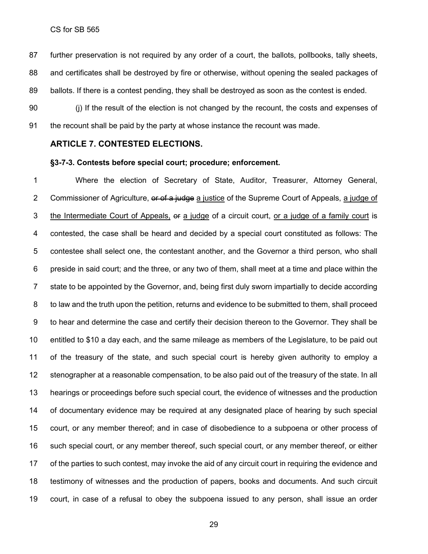further preservation is not required by any order of a court, the ballots, pollbooks, tally sheets, and certificates shall be destroyed by fire or otherwise, without opening the sealed packages of ballots. If there is a contest pending, they shall be destroyed as soon as the contest is ended.

 (j) If the result of the election is not changed by the recount, the costs and expenses of the recount shall be paid by the party at whose instance the recount was made.

#### **ARTICLE 7. CONTESTED ELECTIONS.**

#### **§3-7-3. Contests before special court; procedure; enforcement.**

 Where the election of Secretary of State, Auditor, Treasurer, Attorney General, 2 Commissioner of Agriculture, or of a judge a justice of the Supreme Court of Appeals, a judge of 3 the Intermediate Court of Appeals, or a judge of a circuit court, or a judge of a family court is contested, the case shall be heard and decided by a special court constituted as follows: The contestee shall select one, the contestant another, and the Governor a third person, who shall preside in said court; and the three, or any two of them, shall meet at a time and place within the state to be appointed by the Governor, and, being first duly sworn impartially to decide according to law and the truth upon the petition, returns and evidence to be submitted to them, shall proceed to hear and determine the case and certify their decision thereon to the Governor. They shall be entitled to \$10 a day each, and the same mileage as members of the Legislature, to be paid out of the treasury of the state, and such special court is hereby given authority to employ a stenographer at a reasonable compensation, to be also paid out of the treasury of the state. In all hearings or proceedings before such special court, the evidence of witnesses and the production of documentary evidence may be required at any designated place of hearing by such special court, or any member thereof; and in case of disobedience to a subpoena or other process of such special court, or any member thereof, such special court, or any member thereof, or either of the parties to such contest, may invoke the aid of any circuit court in requiring the evidence and testimony of witnesses and the production of papers, books and documents. And such circuit court, in case of a refusal to obey the subpoena issued to any person, shall issue an order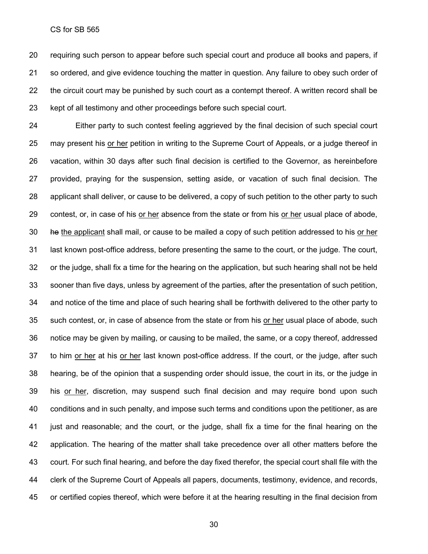requiring such person to appear before such special court and produce all books and papers, if so ordered, and give evidence touching the matter in question. Any failure to obey such order of the circuit court may be punished by such court as a contempt thereof. A written record shall be kept of all testimony and other proceedings before such special court.

 Either party to such contest feeling aggrieved by the final decision of such special court may present his or her petition in writing to the Supreme Court of Appeals, or a judge thereof in vacation, within 30 days after such final decision is certified to the Governor, as hereinbefore provided, praying for the suspension, setting aside, or vacation of such final decision. The applicant shall deliver, or cause to be delivered, a copy of such petition to the other party to such contest, or, in case of his or her absence from the state or from his or her usual place of abode, he the applicant shall mail, or cause to be mailed a copy of such petition addressed to his or her last known post-office address, before presenting the same to the court, or the judge. The court, or the judge, shall fix a time for the hearing on the application, but such hearing shall not be held sooner than five days, unless by agreement of the parties, after the presentation of such petition, and notice of the time and place of such hearing shall be forthwith delivered to the other party to such contest, or, in case of absence from the state or from his or her usual place of abode, such notice may be given by mailing, or causing to be mailed, the same, or a copy thereof, addressed to him or her at his or her last known post-office address. If the court, or the judge, after such hearing, be of the opinion that a suspending order should issue, the court in its, or the judge in his or her, discretion, may suspend such final decision and may require bond upon such conditions and in such penalty, and impose such terms and conditions upon the petitioner, as are just and reasonable; and the court, or the judge, shall fix a time for the final hearing on the application. The hearing of the matter shall take precedence over all other matters before the court. For such final hearing, and before the day fixed therefor, the special court shall file with the clerk of the Supreme Court of Appeals all papers, documents, testimony, evidence, and records, or certified copies thereof, which were before it at the hearing resulting in the final decision from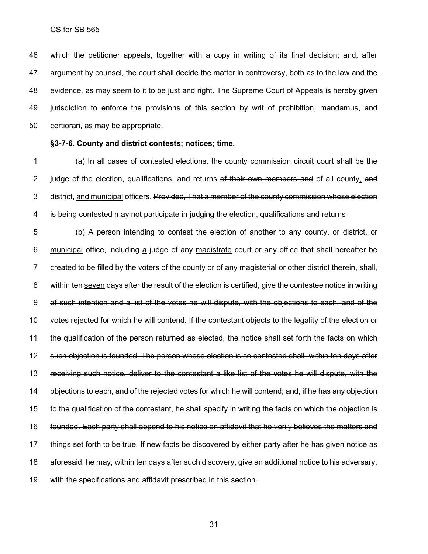which the petitioner appeals, together with a copy in writing of its final decision; and, after argument by counsel, the court shall decide the matter in controversy, both as to the law and the evidence, as may seem to it to be just and right. The Supreme Court of Appeals is hereby given jurisdiction to enforce the provisions of this section by writ of prohibition, mandamus, and certiorari, as may be appropriate.

### **§3-7-6. County and district contests; notices; time.**

1 (a) In all cases of contested elections, the county commission circuit court shall be the 2 judge of the election, qualifications, and returns of their own members and of all county, and 3 district, and municipal officers. Provided, That a member of the county commission whose election is being contested may not participate in judging the election, qualifications and returns

 (b) A person intending to contest the election of another to any county, or district, or 6 municipal office, including a judge of any magistrate court or any office that shall hereafter be created to be filled by the voters of the county or of any magisterial or other district therein, shall, 8 within ten seven days after the result of the election is certified, give the contestee notice in writing of such intention and a list of the votes he will dispute, with the objections to each, and of the votes rejected for which he will contend. If the contestant objects to the legality of the election or the qualification of the person returned as elected, the notice shall set forth the facts on which such objection is founded. The person whose election is so contested shall, within ten days after receiving such notice, deliver to the contestant a like list of the votes he will dispute, with the objections to each, and of the rejected votes for which he will contend; and, if he has any objection to the qualification of the contestant, he shall specify in writing the facts on which the objection is founded. Each party shall append to his notice an affidavit that he verily believes the matters and things set forth to be true. If new facts be discovered by either party after he has given notice as aforesaid, he may, within ten days after such discovery, give an additional notice to his adversary, with the specifications and affidavit prescribed in this section.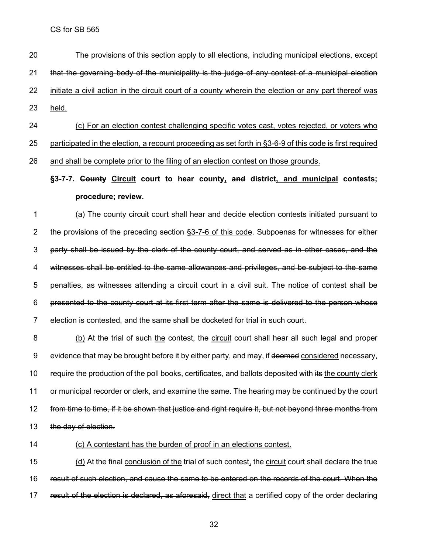- The provisions of this section apply to all elections, including municipal elections, except that the governing body of the municipality is the judge of any contest of a municipal election initiate a civil action in the circuit court of a county wherein the election or any part thereof was held.
- (c) For an election contest challenging specific votes cast, votes rejected, or voters who participated in the election, a recount proceeding as set forth in §3-6-9 of this code is first required

and shall be complete prior to the filing of an election contest on those grounds.

## **§3-7-7. County Circuit court to hear county, and district, and municipal contests; procedure; review.**

1 (a) The county circuit court shall hear and decide election contests initiated pursuant to the provisions of the preceding section §3-7-6 of this code. Subpoenas for witnesses for either party shall be issued by the clerk of the county court, and served as in other cases, and the witnesses shall be entitled to the same allowances and privileges, and be subject to the same penalties, as witnesses attending a circuit court in a civil suit. The notice of contest shall be presented to the county court at its first term after the same is delivered to the person whose election is contested, and the same shall be docketed for trial in such court.

8 (b) At the trial of such the contest, the circuit court shall hear all such legal and proper 9 evidence that may be brought before it by either party, and may, if deemed considered necessary, 10 require the production of the poll books, certificates, and ballots deposited with its the county clerk 11 or municipal recorder or clerk, and examine the same. The hearing may be continued by the court from time to time, if it be shown that justice and right require it, but not beyond three months from 13 the day of election.

## (c) A contestant has the burden of proof in an elections contest.

15 (d) At the final conclusion of the trial of such contest, the circuit court shall declare the true result of such election, and cause the same to be entered on the records of the court. When the 17 result of the election is declared, as aforesaid, direct that a certified copy of the order declaring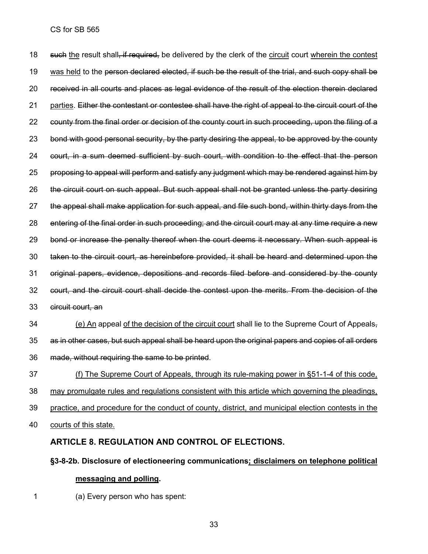18 such the result shall, if required, be delivered by the clerk of the circuit court wherein the contest 19 was held to the person declared elected, if such be the result of the trial, and such copy shall be received in all courts and places as legal evidence of the result of the election therein declared 21 parties. Either the contestant or contestee shall have the right of appeal to the circuit court of the county from the final order or decision of the county court in such proceeding, upon the filing of a 23 bond with good personal security, by the party desiring the appeal, to be approved by the county court, in a sum deemed sufficient by such court, with condition to the effect that the person proposing to appeal will perform and satisfy any judgment which may be rendered against him by the circuit court on such appeal. But such appeal shall not be granted unless the party desiring the appeal shall make application for such appeal, and file such bond, within thirty days from the entering of the final order in such proceeding; and the circuit court may at any time require a new 29 bond or increase the penalty thereof when the court deems it necessary. When such appeal is taken to the circuit court, as hereinbefore provided, it shall be heard and determined upon the original papers, evidence, depositions and records filed before and considered by the county court, and the circuit court shall decide the contest upon the merits. From the decision of the circuit court, an

- (e) An appeal of the decision of the circuit court shall lie to the Supreme Court of Appeals, as in other cases, but such appeal shall be heard upon the original papers and copies of all orders made, without requiring the same to be printed.
- (f) The Supreme Court of Appeals, through its rule-making power in §51-1-4 of this code, may promulgate rules and regulations consistent with this article which governing the pleadings, practice, and procedure for the conduct of county, district, and municipal election contests in the
- courts of this state.

## **ARTICLE 8. REGULATION AND CONTROL OF ELECTIONS.**

**§3-8-2b. Disclosure of electioneering communications; disclaimers on telephone political messaging and polling.**

(a) Every person who has spent: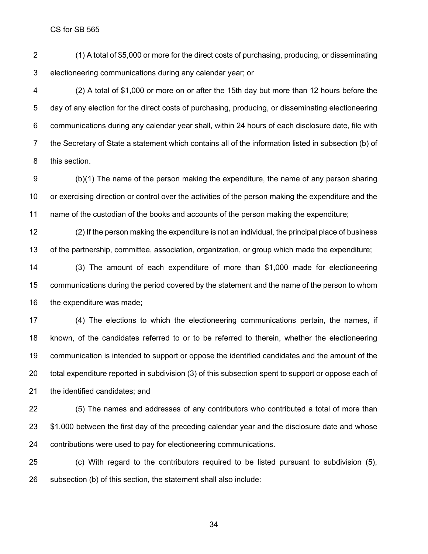(1) A total of \$5,000 or more for the direct costs of purchasing, producing, or disseminating electioneering communications during any calendar year; or

 (2) A total of \$1,000 or more on or after the 15th day but more than 12 hours before the day of any election for the direct costs of purchasing, producing, or disseminating electioneering communications during any calendar year shall, within 24 hours of each disclosure date, file with the Secretary of State a statement which contains all of the information listed in subsection (b) of this section.

 (b)(1) The name of the person making the expenditure, the name of any person sharing or exercising direction or control over the activities of the person making the expenditure and the name of the custodian of the books and accounts of the person making the expenditure;

 (2) If the person making the expenditure is not an individual, the principal place of business of the partnership, committee, association, organization, or group which made the expenditure;

 (3) The amount of each expenditure of more than \$1,000 made for electioneering communications during the period covered by the statement and the name of the person to whom the expenditure was made;

 (4) The elections to which the electioneering communications pertain, the names, if known, of the candidates referred to or to be referred to therein, whether the electioneering communication is intended to support or oppose the identified candidates and the amount of the total expenditure reported in subdivision (3) of this subsection spent to support or oppose each of the identified candidates; and

 (5) The names and addresses of any contributors who contributed a total of more than \$1,000 between the first day of the preceding calendar year and the disclosure date and whose contributions were used to pay for electioneering communications.

 (c) With regard to the contributors required to be listed pursuant to subdivision (5), subsection (b) of this section, the statement shall also include: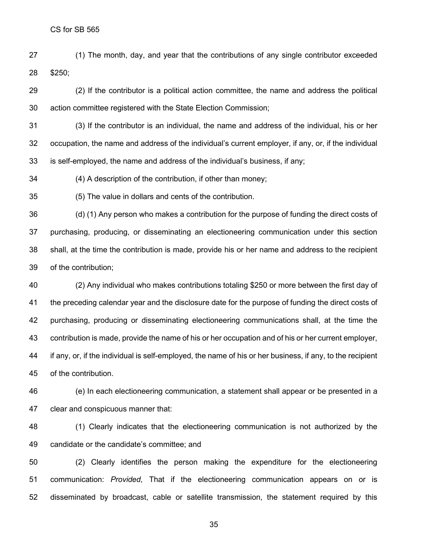(1) The month, day, and year that the contributions of any single contributor exceeded \$250;

 (2) If the contributor is a political action committee, the name and address the political action committee registered with the State Election Commission;

 (3) If the contributor is an individual, the name and address of the individual, his or her occupation, the name and address of the individual's current employer, if any, or, if the individual is self-employed, the name and address of the individual's business, if any;

(4) A description of the contribution, if other than money;

(5) The value in dollars and cents of the contribution.

 (d) (1) Any person who makes a contribution for the purpose of funding the direct costs of purchasing, producing, or disseminating an electioneering communication under this section shall, at the time the contribution is made, provide his or her name and address to the recipient of the contribution;

 (2) Any individual who makes contributions totaling \$250 or more between the first day of the preceding calendar year and the disclosure date for the purpose of funding the direct costs of purchasing, producing or disseminating electioneering communications shall, at the time the contribution is made, provide the name of his or her occupation and of his or her current employer, if any, or, if the individual is self-employed, the name of his or her business, if any, to the recipient of the contribution.

 (e) In each electioneering communication, a statement shall appear or be presented in a clear and conspicuous manner that:

 (1) Clearly indicates that the electioneering communication is not authorized by the candidate or the candidate's committee; and

 (2) Clearly identifies the person making the expenditure for the electioneering communication: *Provided,* That if the electioneering communication appears on or is disseminated by broadcast, cable or satellite transmission, the statement required by this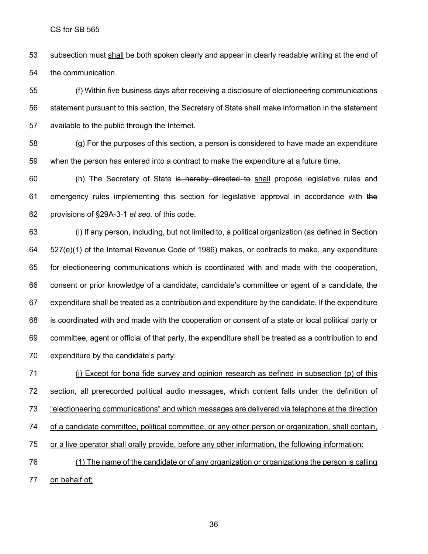53 subsection must shall be both spoken clearly and appear in clearly readable writing at the end of the communication.

 (f) Within five business days after receiving a disclosure of electioneering communications statement pursuant to this section, the Secretary of State shall make information in the statement available to the public through the Internet.

 (g) For the purposes of this section, a person is considered to have made an expenditure when the person has entered into a contract to make the expenditure at a future time.

60 (h) The Secretary of State is hereby directed to shall propose legislative rules and 61 emergency rules implementing this section for legislative approval in accordance with the provisions of §29A-3-1 *et seq.* of this code.

 (i) If any person, including, but not limited to, a political organization (as defined in Section 527(e)(1) of the Internal Revenue Code of 1986) makes, or contracts to make, any expenditure for electioneering communications which is coordinated with and made with the cooperation, consent or prior knowledge of a candidate, candidate's committee or agent of a candidate, the expenditure shall be treated as a contribution and expenditure by the candidate. If the expenditure is coordinated with and made with the cooperation or consent of a state or local political party or committee, agent or official of that party, the expenditure shall be treated as a contribution to and expenditure by the candidate's party.

 (j) Except for bona fide survey and opinion research as defined in subsection (p) of this section, all prerecorded political audio messages, which content falls under the definition of "electioneering communications" and which messages are delivered via telephone at the direction of a candidate committee, political committee, or any other person or organization, shall contain, or a live operator shall orally provide, before any other information, the following information: (1) The name of the candidate or of any organization or organizations the person is calling 77 on behalf of;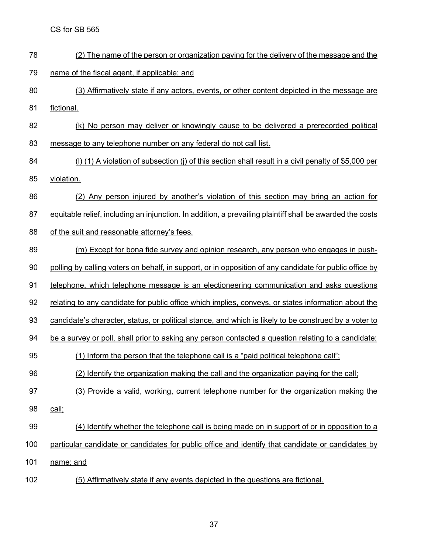(2) The name of the person or organization paying for the delivery of the message and the

name of the fiscal agent, if applicable; and

- (3) Affirmatively state if any actors, events, or other content depicted in the message are fictional.
- (k) No person may deliver or knowingly cause to be delivered a prerecorded political message to any telephone number on any federal do not call list.
- (l) (1) A violation of subsection (j) of this section shall result in a civil penalty of \$5,000 per
- violation.
- 86 (2) Any person injured by another's violation of this section may bring an action for
- 87 equitable relief, including an injunction. In addition, a prevailing plaintiff shall be awarded the costs
- of the suit and reasonable attorney's fees.
- 89 (m) Except for bona fide survey and opinion research, any person who engages in push-
- polling by calling voters on behalf, in support, or in opposition of any candidate for public office by
- telephone, which telephone message is an electioneering communication and asks questions
- 92 relating to any candidate for public office which implies, conveys, or states information about the
- candidate's character, status, or political stance, and which is likely to be construed by a voter to
- 94 be a survey or poll, shall prior to asking any person contacted a question relating to a candidate:
- (1) Inform the person that the telephone call is a "paid political telephone call";
- (2) Identify the organization making the call and the organization paying for the call;
- 97 (3) Provide a valid, working, current telephone number for the organization making the
- call;
- 99 (4) Identify whether the telephone call is being made on in support of or in opposition to a
- particular candidate or candidates for public office and identify that candidate or candidates by
- name; and
- (5) Affirmatively state if any events depicted in the questions are fictional.